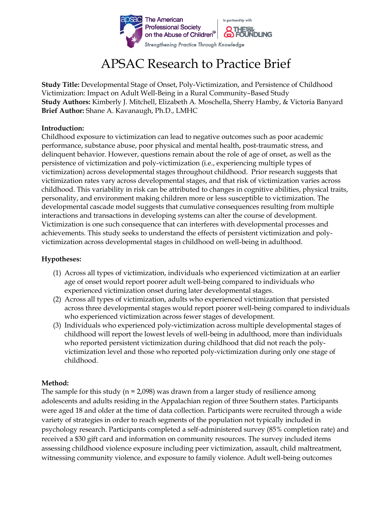

# APSAC Research to Practice Brief

**Study Title:** Developmental Stage of Onset, Poly-Victimization, and Persistence of Childhood Victimization: Impact on Adult Well-Being in a Rural Community–Based Study **Study Authors:** Kimberly J. Mitchell, Elizabeth A. Moschella, Sherry Hamby, & Victoria Banyard **Brief Author:** Shane A. Kavanaugh, Ph.D., LMHC

### **Introduction:**

Childhood exposure to victimization can lead to negative outcomes such as poor academic performance, substance abuse, poor physical and mental health, post-traumatic stress, and delinquent behavior. However, questions remain about the role of age of onset, as well as the persistence of victimization and poly-victimization (i.e., experiencing multiple types of victimization) across developmental stages throughout childhood. Prior research suggests that victimization rates vary across developmental stages, and that risk of victimization varies across childhood. This variability in risk can be attributed to changes in cognitive abilities, physical traits, personality, and environment making children more or less susceptible to victimization. The developmental cascade model suggests that cumulative consequences resulting from multiple interactions and transactions in developing systems can alter the course of development. Victimization is one such consequence that can interferes with developmental processes and achievements. This study seeks to understand the effects of persistent victimization and polyvictimization across developmental stages in childhood on well-being in adulthood.

### **Hypotheses:**

- (1) Across all types of victimization, individuals who experienced victimization at an earlier age of onset would report poorer adult well-being compared to individuals who experienced victimization onset during later developmental stages.
- (2) Across all types of victimization, adults who experienced victimization that persisted across three developmental stages would report poorer well-being compared to individuals who experienced victimization across fewer stages of development.
- (3) Individuals who experienced poly-victimization across multiple developmental stages of childhood will report the lowest levels of well-being in adulthood, more than individuals who reported persistent victimization during childhood that did not reach the polyvictimization level and those who reported poly-victimization during only one stage of childhood.

### **Method:**

The sample for this study ( $n = 2,098$ ) was drawn from a larger study of resilience among adolescents and adults residing in the Appalachian region of three Southern states. Participants were aged 18 and older at the time of data collection. Participants were recruited through a wide variety of strategies in order to reach segments of the population not typically included in psychology research. Participants completed a self-administered survey (85% completion rate) and received a \$30 gift card and information on community resources. The survey included items assessing childhood violence exposure including peer victimization, assault, child maltreatment, witnessing community violence, and exposure to family violence. Adult well-being outcomes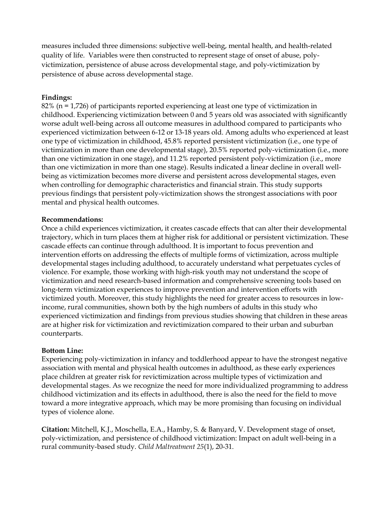measures included three dimensions: subjective well-being, mental health, and health-related quality of life. Variables were then constructed to represent stage of onset of abuse, polyvictimization, persistence of abuse across developmental stage, and poly-victimization by persistence of abuse across developmental stage.

### **Findings:**

82% (n = 1,726) of participants reported experiencing at least one type of victimization in childhood. Experiencing victimization between 0 and 5 years old was associated with significantly worse adult well-being across all outcome measures in adulthood compared to participants who experienced victimization between 6-12 or 13-18 years old. Among adults who experienced at least one type of victimization in childhood, 45.8% reported persistent victimization (i.e., one type of victimization in more than one developmental stage), 20.5% reported poly-victimization (i.e., more than one victimization in one stage), and 11.2% reported persistent poly-victimization (i.e., more than one victimization in more than one stage). Results indicated a linear decline in overall wellbeing as victimization becomes more diverse and persistent across developmental stages, even when controlling for demographic characteristics and financial strain. This study supports previous findings that persistent poly-victimization shows the strongest associations with poor mental and physical health outcomes.

### **Recommendations:**

Once a child experiences victimization, it creates cascade effects that can alter their developmental trajectory, which in turn places them at higher risk for additional or persistent victimization. These cascade effects can continue through adulthood. It is important to focus prevention and intervention efforts on addressing the effects of multiple forms of victimization, across multiple developmental stages including adulthood, to accurately understand what perpetuates cycles of violence. For example, those working with high-risk youth may not understand the scope of victimization and need research-based information and comprehensive screening tools based on long-term victimization experiences to improve prevention and intervention efforts with victimized youth. Moreover, this study highlights the need for greater access to resources in lowincome, rural communities, shown both by the high numbers of adults in this study who experienced victimization and findings from previous studies showing that children in these areas are at higher risk for victimization and revictimization compared to their urban and suburban counterparts.

### **Bottom Line:**

Experiencing poly-victimization in infancy and toddlerhood appear to have the strongest negative association with mental and physical health outcomes in adulthood, as these early experiences place children at greater risk for revictimization across multiple types of victimization and developmental stages. As we recognize the need for more individualized programming to address childhood victimization and its effects in adulthood, there is also the need for the field to move toward a more integrative approach, which may be more promising than focusing on individual types of violence alone.

**Citation:** Mitchell, K.J., Moschella, E.A., Hamby, S. & Banyard, V. Development stage of onset, poly-victimization, and persistence of childhood victimization: Impact on adult well-being in a rural community-based study. *Child Maltreatment 25*(1), 20-31.